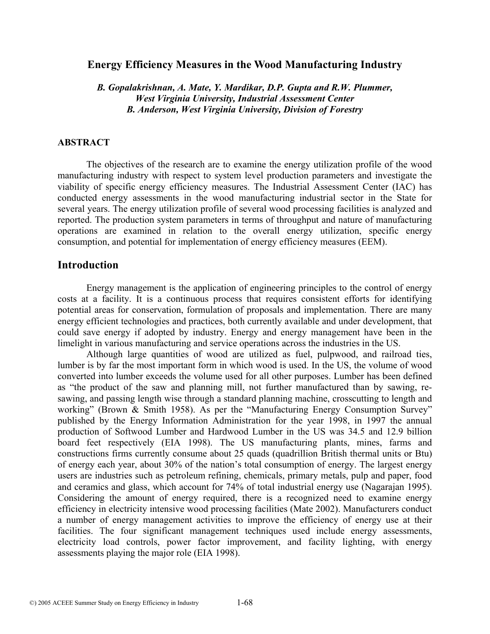# **Energy Efficiency Measures in the Wood Manufacturing Industry**

*B. Gopalakrishnan, A. Mate, Y. Mardikar, D.P. Gupta and R.W. Plummer, West Virginia University, Industrial Assessment Center B. Anderson, West Virginia University, Division of Forestry* 

### **ABSTRACT**

The objectives of the research are to examine the energy utilization profile of the wood manufacturing industry with respect to system level production parameters and investigate the viability of specific energy efficiency measures. The Industrial Assessment Center (IAC) has conducted energy assessments in the wood manufacturing industrial sector in the State for several years. The energy utilization profile of several wood processing facilities is analyzed and reported. The production system parameters in terms of throughput and nature of manufacturing operations are examined in relation to the overall energy utilization, specific energy consumption, and potential for implementation of energy efficiency measures (EEM).

# **Introduction**

 Energy management is the application of engineering principles to the control of energy costs at a facility. It is a continuous process that requires consistent efforts for identifying potential areas for conservation, formulation of proposals and implementation. There are many energy efficient technologies and practices, both currently available and under development, that could save energy if adopted by industry. Energy and energy management have been in the limelight in various manufacturing and service operations across the industries in the US.

 Although large quantities of wood are utilized as fuel, pulpwood, and railroad ties, lumber is by far the most important form in which wood is used. In the US, the volume of wood converted into lumber exceeds the volume used for all other purposes. Lumber has been defined as "the product of the saw and planning mill, not further manufactured than by sawing, resawing, and passing length wise through a standard planning machine, crosscutting to length and working" (Brown & Smith 1958). As per the "Manufacturing Energy Consumption Survey" published by the Energy Information Administration for the year 1998, in 1997 the annual production of Softwood Lumber and Hardwood Lumber in the US was 34.5 and 12.9 billion board feet respectively (EIA 1998). The US manufacturing plants, mines, farms and constructions firms currently consume about 25 quads (quadrillion British thermal units or Btu) of energy each year, about 30% of the nation's total consumption of energy. The largest energy users are industries such as petroleum refining, chemicals, primary metals, pulp and paper, food and ceramics and glass, which account for 74% of total industrial energy use (Nagarajan 1995). Considering the amount of energy required, there is a recognized need to examine energy efficiency in electricity intensive wood processing facilities (Mate 2002). Manufacturers conduct a number of energy management activities to improve the efficiency of energy use at their facilities. The four significant management techniques used include energy assessments, electricity load controls, power factor improvement, and facility lighting, with energy assessments playing the major role (EIA 1998).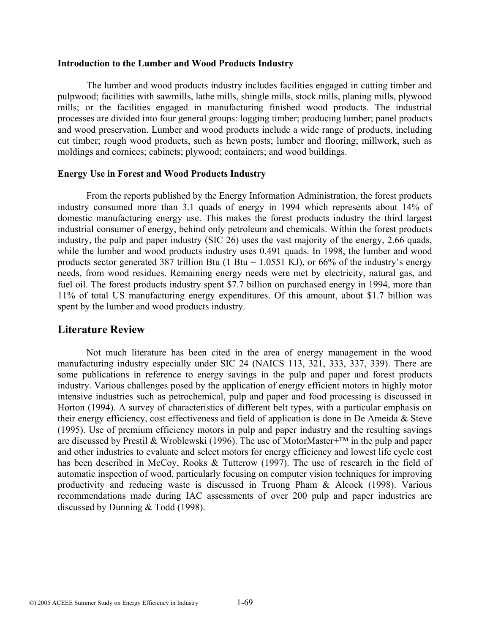#### **Introduction to the Lumber and Wood Products Industry**

The lumber and wood products industry includes facilities engaged in cutting timber and pulpwood; facilities with sawmills, lathe mills, shingle mills, stock mills, planing mills, plywood mills; or the facilities engaged in manufacturing finished wood products. The industrial processes are divided into four general groups: logging timber; producing lumber; panel products and wood preservation. Lumber and wood products include a wide range of products, including cut timber; rough wood products, such as hewn posts; lumber and flooring; millwork, such as moldings and cornices; cabinets; plywood; containers; and wood buildings.

#### **Energy Use in Forest and Wood Products Industry**

 From the reports published by the Energy Information Administration, the forest products industry consumed more than 3.1 quads of energy in 1994 which represents about 14% of domestic manufacturing energy use. This makes the forest products industry the third largest industrial consumer of energy, behind only petroleum and chemicals. Within the forest products industry, the pulp and paper industry (SIC 26) uses the vast majority of the energy, 2.66 quads, while the lumber and wood products industry uses 0.491 quads. In 1998, the lumber and wood products sector generated 387 trillion Btu (1 Btu = 1.0551 KJ), or 66% of the industry's energy needs, from wood residues. Remaining energy needs were met by electricity, natural gas, and fuel oil. The forest products industry spent \$7.7 billion on purchased energy in 1994, more than 11% of total US manufacturing energy expenditures. Of this amount, about \$1.7 billion was spent by the lumber and wood products industry.

# **Literature Review**

Not much literature has been cited in the area of energy management in the wood manufacturing industry especially under SIC 24 (NAICS 113, 321, 333, 337, 339). There are some publications in reference to energy savings in the pulp and paper and forest products industry. Various challenges posed by the application of energy efficient motors in highly motor intensive industries such as petrochemical, pulp and paper and food processing is discussed in Horton (1994). A survey of characteristics of different belt types, with a particular emphasis on their energy efficiency, cost effectiveness and field of application is done in De Ameida & Steve (1995). Use of premium efficiency motors in pulp and paper industry and the resulting savings are discussed by Prestil & Wroblewski (1996). The use of MotorMaster+™ in the pulp and paper and other industries to evaluate and select motors for energy efficiency and lowest life cycle cost has been described in McCoy, Rooks & Tutterow (1997). The use of research in the field of automatic inspection of wood, particularly focusing on computer vision techniques for improving productivity and reducing waste is discussed in Truong Pham & Alcock (1998). Various recommendations made during IAC assessments of over 200 pulp and paper industries are discussed by Dunning & Todd (1998).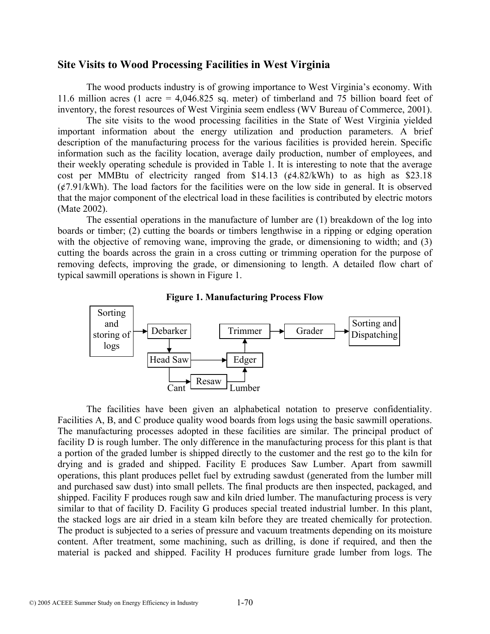## **Site Visits to Wood Processing Facilities in West Virginia**

The wood products industry is of growing importance to West Virginia's economy. With 11.6 million acres (1 acre = 4,046.825 sq. meter) of timberland and 75 billion board feet of inventory, the forest resources of West Virginia seem endless (WV Bureau of Commerce, 2001).

 The site visits to the wood processing facilities in the State of West Virginia yielded important information about the energy utilization and production parameters. A brief description of the manufacturing process for the various facilities is provided herein. Specific information such as the facility location, average daily production, number of employees, and their weekly operating schedule is provided in Table 1. It is interesting to note that the average cost per MMBtu of electricity ranged from \$14.13 (¢4.82/kWh) to as high as \$23.18  $({\cal E}7.91/kWh)$ . The load factors for the facilities were on the low side in general. It is observed that the major component of the electrical load in these facilities is contributed by electric motors (Mate 2002).

 The essential operations in the manufacture of lumber are (1) breakdown of the log into boards or timber; (2) cutting the boards or timbers lengthwise in a ripping or edging operation with the objective of removing wane, improving the grade, or dimensioning to width; and (3) cutting the boards across the grain in a cross cutting or trimming operation for the purpose of removing defects, improving the grade, or dimensioning to length. A detailed flow chart of typical sawmill operations is shown in Figure 1.





The facilities have been given an alphabetical notation to preserve confidentiality. Facilities A, B, and C produce quality wood boards from logs using the basic sawmill operations. The manufacturing processes adopted in these facilities are similar. The principal product of facility D is rough lumber. The only difference in the manufacturing process for this plant is that a portion of the graded lumber is shipped directly to the customer and the rest go to the kiln for drying and is graded and shipped. Facility E produces Saw Lumber. Apart from sawmill operations, this plant produces pellet fuel by extruding sawdust (generated from the lumber mill and purchased saw dust) into small pellets. The final products are then inspected, packaged, and shipped. Facility F produces rough saw and kiln dried lumber. The manufacturing process is very similar to that of facility D. Facility G produces special treated industrial lumber. In this plant, the stacked logs are air dried in a steam kiln before they are treated chemically for protection. The product is subjected to a series of pressure and vacuum treatments depending on its moisture content. After treatment, some machining, such as drilling, is done if required, and then the material is packed and shipped. Facility H produces furniture grade lumber from logs. The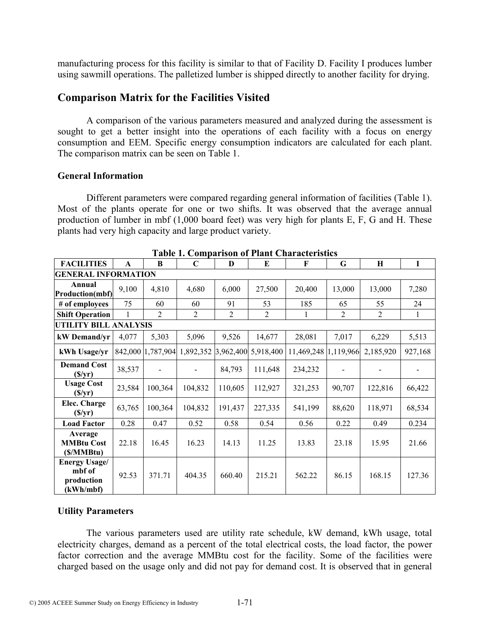manufacturing process for this facility is similar to that of Facility D. Facility I produces lumber using sawmill operations. The palletized lumber is shipped directly to another facility for drying.

# **Comparison Matrix for the Facilities Visited**

 A comparison of the various parameters measured and analyzed during the assessment is sought to get a better insight into the operations of each facility with a focus on energy consumption and EEM. Specific energy consumption indicators are calculated for each plant. The comparison matrix can be seen on Table 1.

## **General Information**

Different parameters were compared regarding general information of facilities (Table 1). Most of the plants operate for one or two shifts. It was observed that the average annual production of lumber in mbf (1,000 board feet) was very high for plants E, F, G and H. These plants had very high capacity and large product variety.

| <b>FACILITIES</b>                                         | A            | <sub>R</sub>      | $\mathbf C$         | $\bf{D}$       | E         | F                    | G              | $\mathbf H$    | $\mathbf I$ |  |  |  |
|-----------------------------------------------------------|--------------|-------------------|---------------------|----------------|-----------|----------------------|----------------|----------------|-------------|--|--|--|
| <b>GENERAL INFORMATION</b>                                |              |                   |                     |                |           |                      |                |                |             |  |  |  |
| Annual<br><b>Production(mbf)</b>                          | 9,100        | 4,810             | 4,680               | 6,000          | 27,500    | 20,400               | 13,000         | 13,000         | 7,280       |  |  |  |
| # of employees                                            | 75           | 60                | 60                  | 91             | 53        | 185                  | 65             | 55             | 24          |  |  |  |
| <b>Shift Operation</b>                                    | $\mathbf{1}$ | $\overline{2}$    | $\overline{2}$      | $\overline{2}$ | 2         | 1                    | $\overline{2}$ | $\overline{2}$ | 1           |  |  |  |
| UTILITY BILL ANALYSIS                                     |              |                   |                     |                |           |                      |                |                |             |  |  |  |
| kW Demand/yr                                              | 4,077        | 5,303             | 5,096               | 9,526          | 14,677    | 28,081               | 7,017          | 6,229          | 5,513       |  |  |  |
| kWh Usage/yr                                              |              | 842,000 1,787,904 | 1,892,352 3,962,400 |                | 5,918,400 | 11,469,248 1,119,966 |                | 2,185,920      | 927,168     |  |  |  |
| <b>Demand Cost</b><br>(S/yr)                              | 38,537       |                   |                     | 84,793         | 111,648   | 234,232              |                |                |             |  |  |  |
| <b>Usage Cost</b><br>(S/yr)                               | 23,584       | 100,364           | 104,832             | 110,605        | 112,927   | 321,253              | 90,707         | 122,816        | 66,422      |  |  |  |
| Elec. Charge<br>(S/yr)                                    | 63,765       | 100,364           | 104,832             | 191,437        | 227,335   | 541,199              | 88,620         | 118,971        | 68,534      |  |  |  |
| <b>Load Factor</b>                                        | 0.28         | 0.47              | 0.52                | 0.58           | 0.54      | 0.56                 | 0.22           | 0.49           | 0.234       |  |  |  |
| Average<br><b>MMBtu Cost</b><br>(\$/MMBtu)                | 22.18        | 16.45             | 16.23               | 14.13          | 11.25     | 13.83                | 23.18          | 15.95          | 21.66       |  |  |  |
| <b>Energy Usage/</b><br>mbf of<br>production<br>(kWh/mbf) | 92.53        | 371.71            | 404.35              | 660.40         | 215.21    | 562.22               | 86.15          | 168.15         | 127.36      |  |  |  |

**Table 1. Comparison of Plant Characteristics** 

## **Utility Parameters**

The various parameters used are utility rate schedule, kW demand, kWh usage, total electricity charges, demand as a percent of the total electrical costs, the load factor, the power factor correction and the average MMBtu cost for the facility. Some of the facilities were charged based on the usage only and did not pay for demand cost. It is observed that in general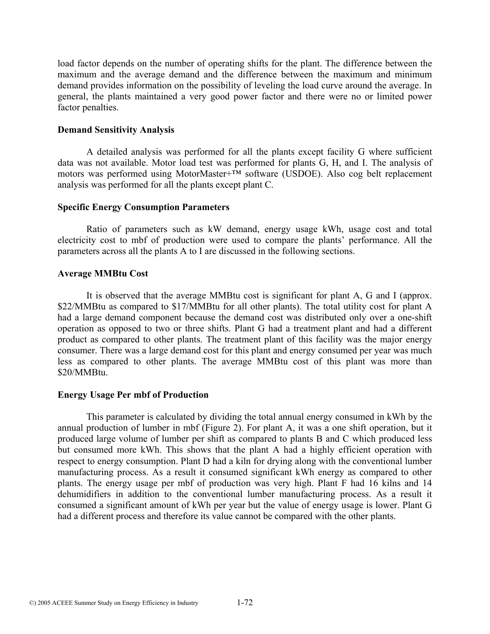load factor depends on the number of operating shifts for the plant. The difference between the maximum and the average demand and the difference between the maximum and minimum demand provides information on the possibility of leveling the load curve around the average. In general, the plants maintained a very good power factor and there were no or limited power factor penalties.

#### **Demand Sensitivity Analysis**

A detailed analysis was performed for all the plants except facility G where sufficient data was not available. Motor load test was performed for plants G, H, and I. The analysis of motors was performed using MotorMaster+™ software (USDOE). Also cog belt replacement analysis was performed for all the plants except plant C.

#### **Specific Energy Consumption Parameters**

Ratio of parameters such as kW demand, energy usage kWh, usage cost and total electricity cost to mbf of production were used to compare the plants' performance. All the parameters across all the plants A to I are discussed in the following sections.

#### **Average MMBtu Cost**

 It is observed that the average MMBtu cost is significant for plant A, G and I (approx. \$22/MMBtu as compared to \$17/MMBtu for all other plants). The total utility cost for plant A had a large demand component because the demand cost was distributed only over a one-shift operation as opposed to two or three shifts. Plant G had a treatment plant and had a different product as compared to other plants. The treatment plant of this facility was the major energy consumer. There was a large demand cost for this plant and energy consumed per year was much less as compared to other plants. The average MMBtu cost of this plant was more than \$20/MMBtu.

## **Energy Usage Per mbf of Production**

 This parameter is calculated by dividing the total annual energy consumed in kWh by the annual production of lumber in mbf (Figure 2). For plant A, it was a one shift operation, but it produced large volume of lumber per shift as compared to plants B and C which produced less but consumed more kWh. This shows that the plant A had a highly efficient operation with respect to energy consumption. Plant D had a kiln for drying along with the conventional lumber manufacturing process. As a result it consumed significant kWh energy as compared to other plants. The energy usage per mbf of production was very high. Plant F had 16 kilns and 14 dehumidifiers in addition to the conventional lumber manufacturing process. As a result it consumed a significant amount of kWh per year but the value of energy usage is lower. Plant G had a different process and therefore its value cannot be compared with the other plants.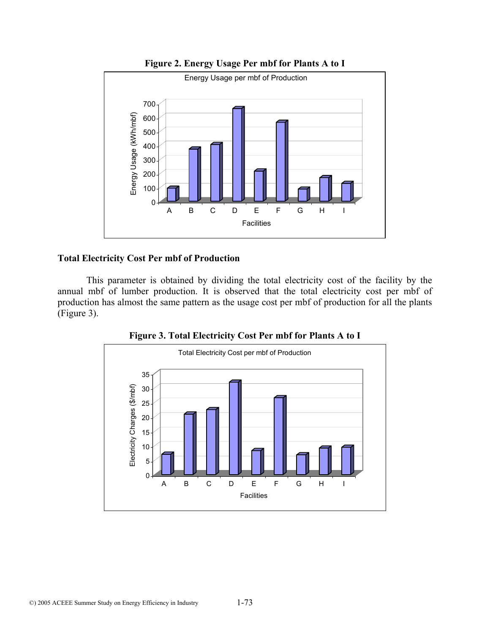

**Figure 2. Energy Usage Per mbf for Plants A to I** 

# **Total Electricity Cost Per mbf of Production**

 This parameter is obtained by dividing the total electricity cost of the facility by the annual mbf of lumber production. It is observed that the total electricity cost per mbf of production has almost the same pattern as the usage cost per mbf of production for all the plants (Figure 3).



**Figure 3. Total Electricity Cost Per mbf for Plants A to I**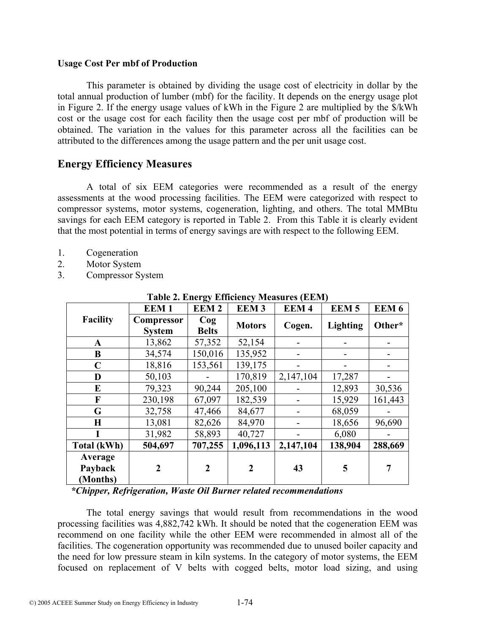#### **Usage Cost Per mbf of Production**

 This parameter is obtained by dividing the usage cost of electricity in dollar by the total annual production of lumber (mbf) for the facility. It depends on the energy usage plot in Figure 2. If the energy usage values of kWh in the Figure 2 are multiplied by the \$/kWh cost or the usage cost for each facility then the usage cost per mbf of production will be obtained. The variation in the values for this parameter across all the facilities can be attributed to the differences among the usage pattern and the per unit usage cost.

# **Energy Efficiency Measures**

 A total of six EEM categories were recommended as a result of the energy assessments at the wood processing facilities. The EEM were categorized with respect to compressor systems, motor systems, cogeneration, lighting, and others. The total MMBtu savings for each EEM category is reported in Table 2. From this Table it is clearly evident that the most potential in terms of energy savings are with respect to the following EEM.

- 1. Cogeneration
- 2. Motor System
- 3. Compressor System

|                                | EEM <sub>1</sub>            | <b>EEM2</b>            | <b>EEM3</b>    | r apic 2. Encre, Emercine, Freabarcs (EEFT)<br>EEM <sub>4</sub> | <b>EEM5</b>     | EEM <sub>6</sub> |
|--------------------------------|-----------------------------|------------------------|----------------|-----------------------------------------------------------------|-----------------|------------------|
| <b>Facility</b>                | Compressor<br><b>System</b> | $\log$<br><b>Belts</b> | <b>Motors</b>  | Cogen.                                                          | <b>Lighting</b> | Other*           |
| $\mathbf A$                    | 13,862                      | 57,352                 | 52,154         |                                                                 |                 |                  |
| $\bf{B}$                       | 34,574                      | 150,016                | 135,952        |                                                                 |                 |                  |
| $\mathbf C$                    | 18,816                      | 153,561                | 139,175        |                                                                 |                 |                  |
| D                              | 50,103                      |                        | 170,819        | 2,147,104                                                       | 17,287          |                  |
| E                              | 79,323                      | 90,244                 | 205,100        |                                                                 | 12,893          | 30,536           |
| $\mathbf F$                    | 230,198                     | 67,097                 | 182,539        |                                                                 | 15,929          | 161,443          |
| G                              | 32,758                      | 47,466                 | 84,677         |                                                                 | 68,059          |                  |
| H                              | 13,081                      | 82,626                 | 84,970         |                                                                 | 18,656          | 96,690           |
| T                              | 31,982                      | 58,893                 | 40,727         |                                                                 | 6,080           |                  |
| Total (kWh)                    | 504,697                     | 707,255                | 1,096,113      | 2,147,104                                                       | 138,904         | 288,669          |
| Average<br>Payback<br>(Months) | $\overline{2}$              | $\overline{2}$         | $\overline{2}$ | 43                                                              | 5               | 7                |

**Table 2. Energy Efficiency Measures (EEM)** 

*\*Chipper, Refrigeration, Waste Oil Burner related recommendations* 

The total energy savings that would result from recommendations in the wood processing facilities was 4,882,742 kWh. It should be noted that the cogeneration EEM was recommend on one facility while the other EEM were recommended in almost all of the facilities. The cogeneration opportunity was recommended due to unused boiler capacity and the need for low pressure steam in kiln systems. In the category of motor systems, the EEM focused on replacement of V belts with cogged belts, motor load sizing, and using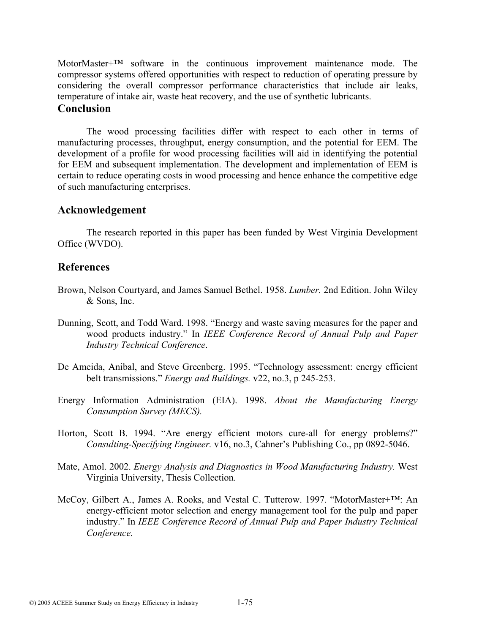MotorMaster<sup>+TM</sup> software in the continuous improvement maintenance mode. The compressor systems offered opportunities with respect to reduction of operating pressure by considering the overall compressor performance characteristics that include air leaks, temperature of intake air, waste heat recovery, and the use of synthetic lubricants. **Conclusion** 

 The wood processing facilities differ with respect to each other in terms of manufacturing processes, throughput, energy consumption, and the potential for EEM. The development of a profile for wood processing facilities will aid in identifying the potential for EEM and subsequent implementation. The development and implementation of EEM is certain to reduce operating costs in wood processing and hence enhance the competitive edge of such manufacturing enterprises.

#### **Acknowledgement**

 The research reported in this paper has been funded by West Virginia Development Office (WVDO).

## **References**

- Brown, Nelson Courtyard, and James Samuel Bethel. 1958. *Lumber.* 2nd Edition. John Wiley & Sons, Inc.
- Dunning, Scott, and Todd Ward. 1998. "Energy and waste saving measures for the paper and wood products industry." In *IEEE Conference Record of Annual Pulp and Paper Industry Technical Conference*.
- De Ameida, Anibal, and Steve Greenberg. 1995. "Technology assessment: energy efficient belt transmissions." *Energy and Buildings.* v22, no.3, p 245-253.
- Energy Information Administration (EIA). 1998. *About the Manufacturing Energy Consumption Survey (MECS).*
- Horton, Scott B. 1994. "Are energy efficient motors cure-all for energy problems?" *Consulting-Specifying Engineer.* v16, no.3, Cahner's Publishing Co., pp 0892-5046.
- Mate, Amol. 2002. *Energy Analysis and Diagnostics in Wood Manufacturing Industry.* West Virginia University, Thesis Collection.
- McCoy, Gilbert A., James A. Rooks, and Vestal C. Tutterow. 1997. "MotorMaster+™: An energy-efficient motor selection and energy management tool for the pulp and paper industry." In *IEEE Conference Record of Annual Pulp and Paper Industry Technical Conference.*